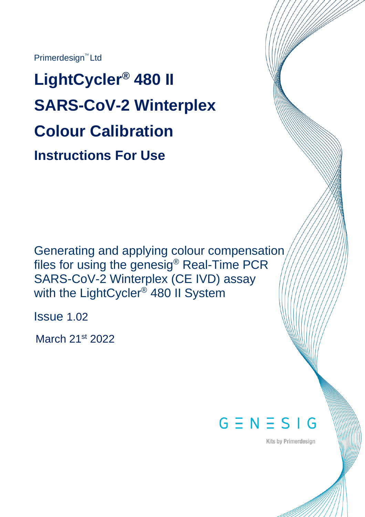Primerdesign<sup>™</sup> Ltd

**LightCycler® 480 II SARS-CoV-2 Winterplex Colour Calibration Instructions For Use**

Generating and applying colour compensation files for using the genesig® Real-Time PCR SARS-CoV-2 Winterplex (CE IVD) assay with the LightCycler® 480 II System

Issue 1.02

March 21<sup>st</sup> 2022



**Kits by Primerdesign**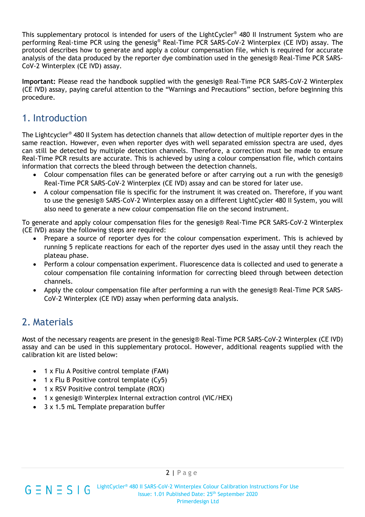This supplementary protocol is intended for users of the LightCycler® 480 II Instrument System who are performing Real-time PCR using the genesig® Real-Time PCR SARS-CoV-2 Winterplex (CE IVD) assay. The protocol describes how to generate and apply a colour compensation file, which is required for accurate analysis of the data produced by the reporter dye combination used in the genesig® Real-Time PCR SARS-CoV-2 Winterplex (CE IVD) assay.

**Important:** Please read the handbook supplied with the genesig® Real-Time PCR SARS-CoV-2 Winterplex (CE IVD) assay, paying careful attention to the "Warnings and Precautions" section, before beginning this procedure.

## 1. Introduction

The Lightcycler® 480 II System has detection channels that allow detection of multiple reporter dyes in the same reaction. However, even when reporter dyes with well separated emission spectra are used, dyes can still be detected by multiple detection channels. Therefore, a correction must be made to ensure Real-Time PCR results are accurate. This is achieved by using a colour compensation file, which contains information that corrects the bleed through between the detection channels.

- Colour compensation files can be generated before or after carrying out a run with the genesig® Real-Time PCR SARS-CoV-2 Winterplex (CE IVD) assay and can be stored for later use.
- A colour compensation file is specific for the instrument it was created on. Therefore, if you want to use the genesig® SARS-CoV-2 Winterplex assay on a different LightCycler 480 II System, you will also need to generate a new colour compensation file on the second instrument.

To generate and apply colour compensation files for the genesig® Real-Time PCR SARS-CoV-2 Winterplex (CE IVD) assay the following steps are required:

- Prepare a source of reporter dyes for the colour compensation experiment. This is achieved by running 5 replicate reactions for each of the reporter dyes used in the assay until they reach the plateau phase.
- Perform a colour compensation experiment. Fluorescence data is collected and used to generate a colour compensation file containing information for correcting bleed through between detection channels.
- Apply the colour compensation file after performing a run with the genesig® Real-Time PCR SARS-CoV-2 Winterplex (CE IVD) assay when performing data analysis.

# 2. Materials

Most of the necessary reagents are present in the genesig® Real-Time PCR SARS-CoV-2 Winterplex (CE IVD) assay and can be used in this supplementary protocol. However, additional reagents supplied with the calibration kit are listed below:

- 1 x Flu A Positive control template (FAM)
- 1 x Flu B Positive control template (Cy5)
- 1 x RSV Positive control template (ROX)
- 1 x genesig® Winterplex Internal extraction control (VIC/HEX)
- 3 x 1.5 mL Template preparation buffer

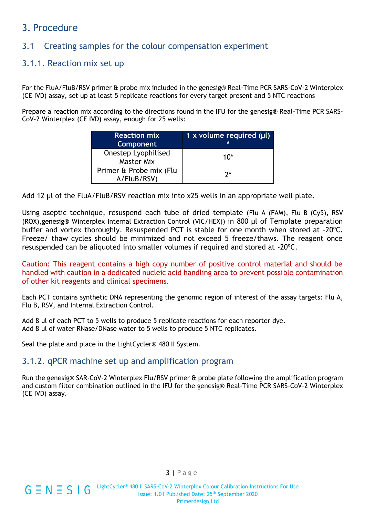## 3. Procedure

## 3.1 Creating samples for the colour compensation experiment

#### 3.1.1. Reaction mix set up

For the FluA/FluB/RSV primer & probe mix included in the genesig® Real-Time PCR SARS-CoV-2 Winterplex (CE IVD) assay, set up at least 5 replicate reactions for every target present and 5 NTC reactions

Prepare a reaction mix according to the directions found in the IFU for the genesig® Real-Time PCR SARS-CoV-2 Winterplex (CE IVD) assay, enough for 25 wells:

| <b>Reaction mix</b><br><b>Component</b>  | 1 x volume required $(\mu I)$ |
|------------------------------------------|-------------------------------|
| Onestep Lyophilised<br><b>Master Mix</b> | $10*$                         |
| Primer & Probe mix (Flu<br>A/FluB/RSV)   | 7*                            |

Add 12 µl of the FluA/FluB/RSV reaction mix into x25 wells in an appropriate well plate.

Using aseptic technique, resuspend each tube of dried template (Flu A (FAM), Flu B (Cy5), RSV (ROX),genesig® Winterplex Internal Extraction Control (VIC/HEX)) in 800 µl of Template preparation buffer and vortex thoroughly. Resuspended PCT is stable for one month when stored at -20ºC. Freeze/ thaw cycles should be minimized and not exceed 5 freeze/thaws. The reagent once resuspended can be aliquoted into smaller volumes if required and stored at -20ºC.

Caution: This reagent contains a high copy number of positive control material and should be handled with caution in a dedicated nucleic acid handling area to prevent possible contamination of other kit reagents and clinical specimens.

Each PCT contains synthetic DNA representing the genomic region of interest of the assay targets: Flu A, Flu B, RSV, and Internal Extraction Control.

Add 8 µl of each PCT to 5 wells to produce 5 replicate reactions for each reporter dye. Add 8 µl of water RNase/DNase water to 5 wells to produce 5 NTC replicates.

Seal the plate and place in the LightCycler® 480 II System.

#### 3.1.2. qPCR machine set up and amplification program

Run the genesig® SAR-CoV-2 Winterplex Flu/RSV primer & probe plate following the amplification program and custom filter combination outlined in the IFU for the genesig® Real-Time PCR SARS-CoV-2 Winterplex (CE IVD) assay.



LightCycler® 480 II SARS-CoV-2 Winterplex Colour Calibration Instructions For Use  $G \equiv N \equiv S \mid G$ Issue: 1.01 Published Date: 25<sup>th</sup> September 2020 Primerdesign Ltd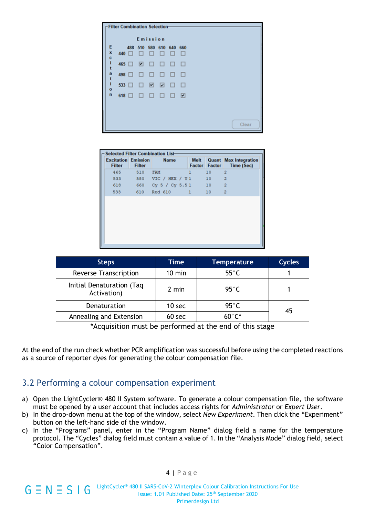| <b>Filter Combination Selection-</b> |              |            |                          |                  |        |          |          |  |  |  |  |  |       |  |
|--------------------------------------|--------------|------------|--------------------------|------------------|--------|----------|----------|--|--|--|--|--|-------|--|
| Emission                             |              |            |                          |                  |        |          |          |  |  |  |  |  |       |  |
| Ε<br>×                               | 440 □        | 488        | □                        | 510 580 610<br>□ | □      | 640<br>□ | 660<br>□ |  |  |  |  |  |       |  |
| e<br>i<br>t                          |              | 465 $\Box$ | $\overline{\phantom{a}}$ | □                | $\Box$ | $\Box$   | $\Box$   |  |  |  |  |  |       |  |
| a<br>t                               | 498          | □          | □                        | □                | □      | □        | $\Box$   |  |  |  |  |  |       |  |
| ĩ<br>$\bullet$                       | $533$ $\Box$ |            | $\Box$                   | ⊡                | ⊠      | □        | $\Box$   |  |  |  |  |  |       |  |
| $\mathbf n$                          | $618$ $\Box$ |            | □                        | □                | $\Box$ | □        | ☑        |  |  |  |  |  |       |  |
|                                      |              |            |                          |                  |        |          |          |  |  |  |  |  |       |  |
|                                      |              |            |                          |                  |        |          |          |  |  |  |  |  | Clear |  |

| <b>Selected Filter Combination List-</b>    |               |                    |                       |        |                                                   |  |  |  |  |  |
|---------------------------------------------|---------------|--------------------|-----------------------|--------|---------------------------------------------------|--|--|--|--|--|
| <b>Excitation Emission</b><br><b>Filter</b> | <b>Filter</b> | <b>Name</b>        | <b>Melt</b><br>Factor | Factor | <b>Quant Max Integration</b><br><b>Time (Sec)</b> |  |  |  |  |  |
| 465                                         | 510           | <b>FAM</b>         | ı                     | 10     | $\overline{\mathbf{2}}$                           |  |  |  |  |  |
| 533                                         | 580           | VIC / HEX / Y1     |                       | 10     | $\overline{2}$                                    |  |  |  |  |  |
| 618                                         |               | 660 Cy 5 / Cy 5.51 |                       | 10     | $\overline{2}$                                    |  |  |  |  |  |
| 533                                         | 610           | Red 610            | ı                     | 10     | $\overline{2}$                                    |  |  |  |  |  |
|                                             |               |                    |                       |        |                                                   |  |  |  |  |  |

| <b>Steps</b>                             | Time             | <b>Temperature</b> | <b>Cycles</b> |
|------------------------------------------|------------------|--------------------|---------------|
| <b>Reverse Transcription</b>             | $10 \text{ min}$ | $55^{\circ}$ C     |               |
| Initial Denaturation (Taq<br>Activation) | 2 min            | 95 $^{\circ}$ C    |               |
| Denaturation                             | 10 sec           | $95^{\circ}$ C     | 45            |
| Annealing and Extension                  | 60 sec           | $60^{\circ}$ C*    |               |

\*Acquisition must be performed at the end of this stage

At the end of the run check whether PCR amplification was successful before using the completed reactions as a source of reporter dyes for generating the colour compensation file.

#### 3.2 Performing a colour compensation experiment

- a) Open the LightCycler® 480 II System software. To generate a colour compensation file, the software must be opened by a user account that includes access rights for *Administrator* or *Expert User*.
- b) In the drop-down menu at the top of the window, select *New Experiment*. Then click the "Experiment" button on the left-hand side of the window.
- c) In the "Programs" panel, enter in the "Program Name" dialog field a name for the temperature protocol. The "Cycles" dialog field must contain a value of 1. In the "Analysis Mode" dialog field, select "Color Compensation".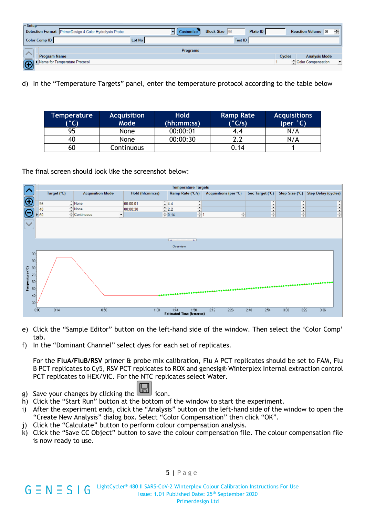| $\Gamma$ Setup                                              |        |                 |                      |          |               |                           |                          |
|-------------------------------------------------------------|--------|-----------------|----------------------|----------|---------------|---------------------------|--------------------------|
| Detection Format PrimerDesign 4 Color Hydrolysis Probe      |        | Customize       | <b>Block Size</b> 96 | Plate ID |               | <b>Reaction Volume</b> 20 | ÷                        |
| <b>Color Comp ID</b>                                        | Lot No |                 | <b>Test ID</b>       |          |               |                           |                          |
|                                                             |        | <b>Programs</b> |                      |          |               |                           |                          |
| <b>Program Name</b>                                         |        |                 |                      |          | <b>Cycles</b> | <b>Analysis Mode</b>      |                          |
| Name for Temperature Protocol<br>$\left( \bigoplus \right)$ |        |                 |                      |          |               | Color Compensation        | $\overline{\phantom{a}}$ |
|                                                             |        |                 |                      |          |               |                           |                          |

d) In the "Temperature Targets" panel, enter the temperature protocol according to the table below

| Temperature<br>(°C) | <b>Acquisition</b><br>Mode | <b>Hold</b><br>(hh:mm:ss) | <b>Ramp Rate</b><br>(°C/s) | <b>Acquisitions</b><br>$(per ^{\circ}C)$ |
|---------------------|----------------------------|---------------------------|----------------------------|------------------------------------------|
|                     |                            |                           |                            |                                          |
| 95                  | <b>None</b>                | 00:00:01                  | 4.4                        | N/A                                      |
| 40                  | None                       | 00:00:30                  | າ າ                        | N/A                                      |
| 60                  | Continuous                 |                           | 0.14                       |                                          |

The final screen should look like the screenshot below:



- e) Click the "Sample Editor" button on the left-hand side of the window. Then select the 'Color Comp' tab.
- f) In the "Dominant Channel" select dyes for each set of replicates.

For the **FluA/FluB/RSV** primer & probe mix calibration, Flu A PCT replicates should be set to FAM, Flu B PCT replicates to Cy5, RSV PCT replicates to ROX and genesig® Winterplex Internal extraction control PCT replicates to HEX/VIC. For the NTC replicates select Water.

- g) Save your changes by clicking the icon.
- h) Click the "Start Run" button at the bottom of the window to start the experiment.
- i) After the experiment ends, click the "Analysis" button on the left-hand side of the window to open the "Create New Analysis" dialog box. Select "Color Compensation" then click "OK".
- j) Click the "Calculate" button to perform colour compensation analysis.
- k) Click the "Save CC Object" button to save the colour compensation file. The colour compensation file is now ready to use.

 $5$  | Page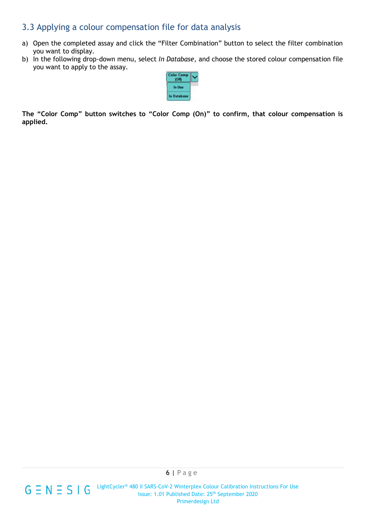### 3.3 Applying a colour compensation file for data analysis

- a) Open the completed assay and click the "Filter Combination" button to select the filter combination you want to display.
- b) In the following drop-down menu, select *In Database*, and choose the stored colour compensation file you want to apply to the assay.



**The "Color Comp" button switches to "Color Comp (On)" to confirm, that colour compensation is applied.**